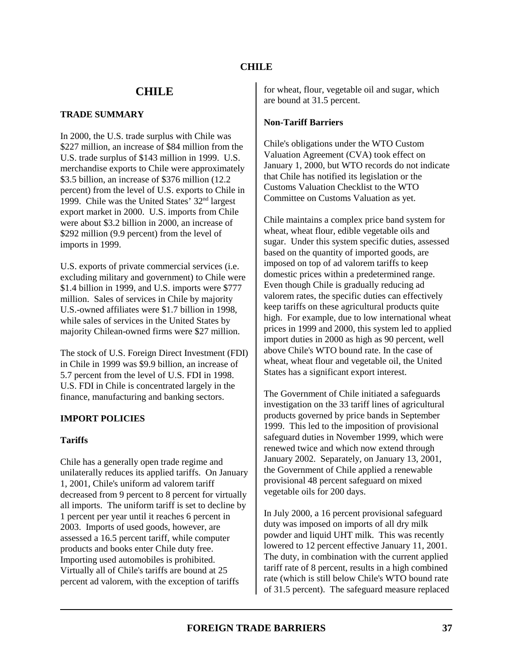# **CHILE**

#### **TRADE SUMMARY**

In 2000, the U.S. trade surplus with Chile was \$227 million, an increase of \$84 million from the U.S. trade surplus of \$143 million in 1999. U.S. merchandise exports to Chile were approximately \$3.5 billion, an increase of \$376 million (12.2 percent) from the level of U.S. exports to Chile in 1999. Chile was the United States' 32nd largest export market in 2000. U.S. imports from Chile were about \$3.2 billion in 2000, an increase of \$292 million (9.9 percent) from the level of imports in 1999.

U.S. exports of private commercial services (i.e. excluding military and government) to Chile were \$1.4 billion in 1999, and U.S. imports were \$777 million. Sales of services in Chile by majority U.S.-owned affiliates were \$1.7 billion in 1998, while sales of services in the United States by majority Chilean-owned firms were \$27 million.

The stock of U.S. Foreign Direct Investment (FDI) in Chile in 1999 was \$9.9 billion, an increase of 5.7 percent from the level of U.S. FDI in 1998. U.S. FDI in Chile is concentrated largely in the finance, manufacturing and banking sectors.

#### **IMPORT POLICIES**

#### **Tariffs**

Chile has a generally open trade regime and unilaterally reduces its applied tariffs. On January 1, 2001, Chile's uniform ad valorem tariff decreased from 9 percent to 8 percent for virtually all imports. The uniform tariff is set to decline by 1 percent per year until it reaches 6 percent in 2003. Imports of used goods, however, are assessed a 16.5 percent tariff, while computer products and books enter Chile duty free. Importing used automobiles is prohibited. Virtually all of Chile's tariffs are bound at 25 percent ad valorem, with the exception of tariffs

for wheat, flour, vegetable oil and sugar, which are bound at 31.5 percent.

### **Non-Tariff Barriers**

Chile's obligations under the WTO Custom Valuation Agreement (CVA) took effect on January 1, 2000, but WTO records do not indicate that Chile has notified its legislation or the Customs Valuation Checklist to the WTO Committee on Customs Valuation as yet.

Chile maintains a complex price band system for wheat, wheat flour, edible vegetable oils and sugar. Under this system specific duties, assessed based on the quantity of imported goods, are imposed on top of ad valorem tariffs to keep domestic prices within a predetermined range. Even though Chile is gradually reducing ad valorem rates, the specific duties can effectively keep tariffs on these agricultural products quite high. For example, due to low international wheat prices in 1999 and 2000, this system led to applied import duties in 2000 as high as 90 percent, well above Chile's WTO bound rate. In the case of wheat, wheat flour and vegetable oil, the United States has a significant export interest.

The Government of Chile initiated a safeguards investigation on the 33 tariff lines of agricultural products governed by price bands in September 1999. This led to the imposition of provisional safeguard duties in November 1999, which were renewed twice and which now extend through January 2002. Separately, on January 13, 2001, the Government of Chile applied a renewable provisional 48 percent safeguard on mixed vegetable oils for 200 days.

In July 2000, a 16 percent provisional safeguard duty was imposed on imports of all dry milk powder and liquid UHT milk. This was recently lowered to 12 percent effective January 11, 2001. The duty, in combination with the current applied tariff rate of 8 percent, results in a high combined rate (which is still below Chile's WTO bound rate of 31.5 percent). The safeguard measure replaced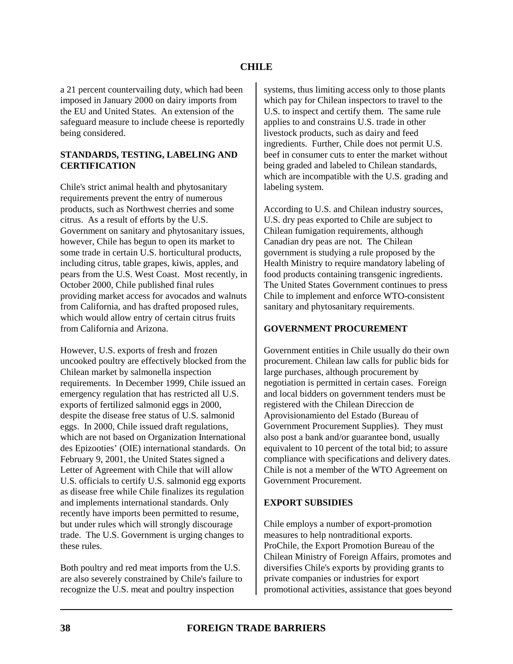a 21 percent countervailing duty, which had been imposed in January 2000 on dairy imports from the EU and United States. An extension of the safeguard measure to include cheese is reportedly being considered.

# **STANDARDS, TESTING, LABELING AND CERTIFICATION**

Chile's strict animal health and phytosanitary requirements prevent the entry of numerous products, such as Northwest cherries and some citrus. As a result of efforts by the U.S. Government on sanitary and phytosanitary issues, however, Chile has begun to open its market to some trade in certain U.S. horticultural products, including citrus, table grapes, kiwis, apples, and pears from the U.S. West Coast. Most recently, in October 2000, Chile published final rules providing market access for avocados and walnuts from California, and has drafted proposed rules, which would allow entry of certain citrus fruits from California and Arizona.

However, U.S. exports of fresh and frozen uncooked poultry are effectively blocked from the Chilean market by salmonella inspection requirements.In December 1999, Chile issued an emergency regulation that has restricted all U.S. exports of fertilized salmonid eggs in 2000, despite the disease free status of U.S. salmonid eggs. In 2000, Chile issued draft regulations, which are not based on Organization International des Epizooties' (OIE) international standards. On February 9, 2001, the United States signed a Letter of Agreement with Chile that will allow U.S. officials to certify U.S. salmonid egg exports as disease free while Chile finalizes its regulation and implements international standards. Only recently have imports been permitted to resume, but under rules which will strongly discourage trade. The U.S. Government is urging changes to these rules.

Both poultry and red meat imports from the U.S. are also severely constrained by Chile's failure to recognize the U.S. meat and poultry inspection

systems, thus limiting access only to those plants which pay for Chilean inspectors to travel to the U.S. to inspect and certify them. The same rule applies to and constrains U.S. trade in other livestock products, such as dairy and feed ingredients. Further, Chile does not permit U.S. beef in consumer cuts to enter the market without being graded and labeled to Chilean standards, which are incompatible with the U.S. grading and labeling system.

According to U.S. and Chilean industry sources, U.S. dry peas exported to Chile are subject to Chilean fumigation requirements, although Canadian dry peas are not. The Chilean government is studying a rule proposed by the Health Ministry to require mandatory labeling of food products containing transgenic ingredients. The United States Government continues to press Chile to implement and enforce WTO-consistent sanitary and phytosanitary requirements.

## **GOVERNMENT PROCUREMENT**

Government entities in Chile usually do their own procurement. Chilean law calls for public bids for large purchases, although procurement by negotiation is permitted in certain cases. Foreign and local bidders on government tenders must be registered with the Chilean Direccion de Aprovisionamiento del Estado (Bureau of Government Procurement Supplies). They must also post a bank and/or guarantee bond, usually equivalent to 10 percent of the total bid; to assure compliance with specifications and delivery dates. Chile is not a member of the WTO Agreement on Government Procurement.

# **EXPORT SUBSIDIES**

Chile employs a number of export-promotion measures to help nontraditional exports. ProChile, the Export Promotion Bureau of the Chilean Ministry of Foreign Affairs, promotes and diversifies Chile's exports by providing grants to private companies or industries for export promotional activities, assistance that goes beyond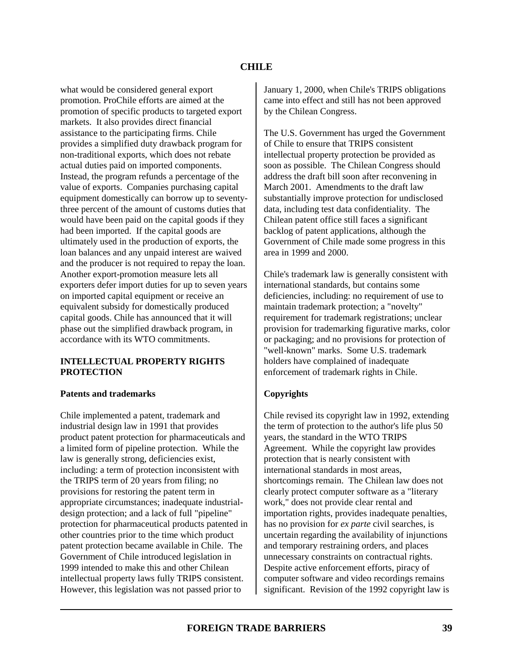what would be considered general export promotion. ProChile efforts are aimed at the promotion of specific products to targeted export markets. It also provides direct financial assistance to the participating firms. Chile provides a simplified duty drawback program for non-traditional exports, which does not rebate actual duties paid on imported components. Instead, the program refunds a percentage of the value of exports. Companies purchasing capital equipment domestically can borrow up to seventythree percent of the amount of customs duties that would have been paid on the capital goods if they had been imported. If the capital goods are ultimately used in the production of exports, the loan balances and any unpaid interest are waived and the producer is not required to repay the loan. Another export-promotion measure lets all exporters defer import duties for up to seven years on imported capital equipment or receive an equivalent subsidy for domestically produced capital goods. Chile has announced that it will phase out the simplified drawback program, in accordance with its WTO commitments.

### **INTELLECTUAL PROPERTY RIGHTS PROTECTION**

#### **Patents and trademarks**

Chile implemented a patent, trademark and industrial design law in 1991 that provides product patent protection for pharmaceuticals and a limited form of pipeline protection. While the law is generally strong, deficiencies exist, including: a term of protection inconsistent with the TRIPS term of 20 years from filing; no provisions for restoring the patent term in appropriate circumstances; inadequate industrialdesign protection; and a lack of full "pipeline" protection for pharmaceutical products patented in other countries prior to the time which product patent protection became available in Chile. The Government of Chile introduced legislation in 1999 intended to make this and other Chilean intellectual property laws fully TRIPS consistent. However, this legislation was not passed prior to

January 1, 2000, when Chile's TRIPS obligations came into effect and still has not been approved by the Chilean Congress.

The U.S. Government has urged the Government of Chile to ensure that TRIPS consistent intellectual property protection be provided as soon as possible. The Chilean Congress should address the draft bill soon after reconvening in March 2001. Amendments to the draft law substantially improve protection for undisclosed data, including test data confidentiality. The Chilean patent office still faces a significant backlog of patent applications, although the Government of Chile made some progress in this area in 1999 and 2000.

Chile's trademark law is generally consistent with international standards, but contains some deficiencies, including: no requirement of use to maintain trademark protection; a "novelty" requirement for trademark registrations; unclear provision for trademarking figurative marks, color or packaging; and no provisions for protection of "well-known" marks. Some U.S. trademark holders have complained of inadequate enforcement of trademark rights in Chile.

# **Copyrights**

Chile revised its copyright law in 1992, extending the term of protection to the author's life plus 50 years, the standard in the WTO TRIPS Agreement. While the copyright law provides protection that is nearly consistent with international standards in most areas, shortcomings remain. The Chilean law does not clearly protect computer software as a "literary work," does not provide clear rental and importation rights, provides inadequate penalties, has no provision for *ex parte* civil searches, is uncertain regarding the availability of injunctions and temporary restraining orders, and places unnecessary constraints on contractual rights. Despite active enforcement efforts, piracy of computer software and video recordings remains significant. Revision of the 1992 copyright law is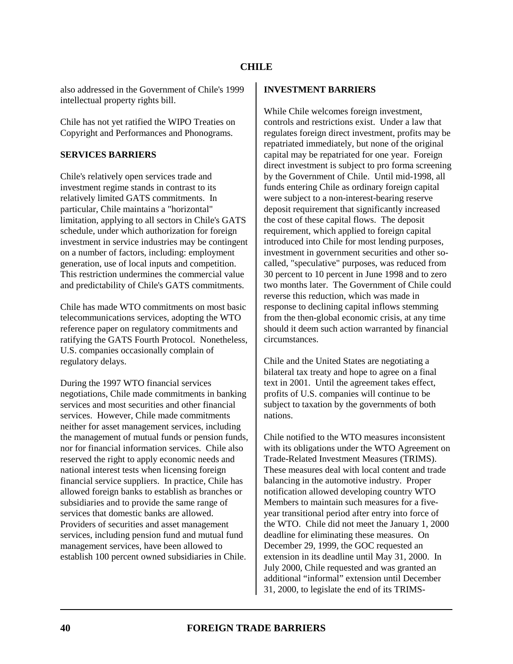also addressed in the Government of Chile's 1999 intellectual property rights bill.

Chile has not yet ratified the WIPO Treaties on Copyright and Performances and Phonograms.

#### **SERVICES BARRIERS**

Chile's relatively open services trade and investment regime stands in contrast to its relatively limited GATS commitments. In particular, Chile maintains a "horizontal" limitation, applying to all sectors in Chile's GATS schedule, under which authorization for foreign investment in service industries may be contingent on a number of factors, including: employment generation, use of local inputs and competition. This restriction undermines the commercial value and predictability of Chile's GATS commitments.

Chile has made WTO commitments on most basic telecommunications services, adopting the WTO reference paper on regulatory commitments and ratifying the GATS Fourth Protocol. Nonetheless, U.S. companies occasionally complain of regulatory delays.

During the 1997 WTO financial services negotiations, Chile made commitments in banking services and most securities and other financial services. However, Chile made commitments neither for asset management services, including the management of mutual funds or pension funds, nor for financial information services. Chile also reserved the right to apply economic needs and national interest tests when licensing foreign financial service suppliers. In practice, Chile has allowed foreign banks to establish as branches or subsidiaries and to provide the same range of services that domestic banks are allowed. Providers of securities and asset management services, including pension fund and mutual fund management services, have been allowed to establish 100 percent owned subsidiaries in Chile.

#### **INVESTMENT BARRIERS**

While Chile welcomes foreign investment, controls and restrictions exist. Under a law that regulates foreign direct investment, profits may be repatriated immediately, but none of the original capital may be repatriated for one year. Foreign direct investment is subject to pro forma screening by the Government of Chile. Until mid-1998, all funds entering Chile as ordinary foreign capital were subject to a non-interest-bearing reserve deposit requirement that significantly increased the cost of these capital flows. The deposit requirement, which applied to foreign capital introduced into Chile for most lending purposes, investment in government securities and other socalled, "speculative" purposes, was reduced from 30 percent to 10 percent in June 1998 and to zero two months later. The Government of Chile could reverse this reduction, which was made in response to declining capital inflows stemming from the then-global economic crisis, at any time should it deem such action warranted by financial circumstances.

Chile and the United States are negotiating a bilateral tax treaty and hope to agree on a final text in 2001. Until the agreement takes effect, profits of U.S. companies will continue to be subject to taxation by the governments of both nations.

Chile notified to the WTO measures inconsistent with its obligations under the WTO Agreement on Trade-Related Investment Measures (TRIMS). These measures deal with local content and trade balancing in the automotive industry. Proper notification allowed developing country WTO Members to maintain such measures for a fiveyear transitional period after entry into force of the WTO. Chile did not meet the January 1, 2000 deadline for eliminating these measures. On December 29, 1999, the GOC requested an extension in its deadline until May 31, 2000. In July 2000, Chile requested and was granted an additional "informal" extension until December 31, 2000, to legislate the end of its TRIMS-